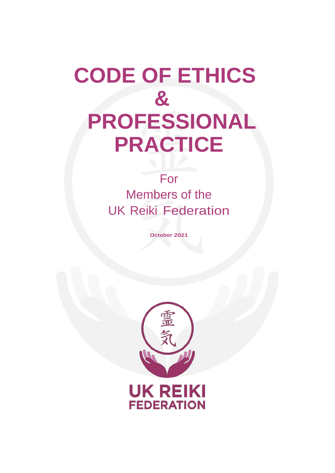# **CODE OF ETHICS & PROFESSIONAL PRACTICE**

# For Members of the UK Reiki Federation

**October 2021**

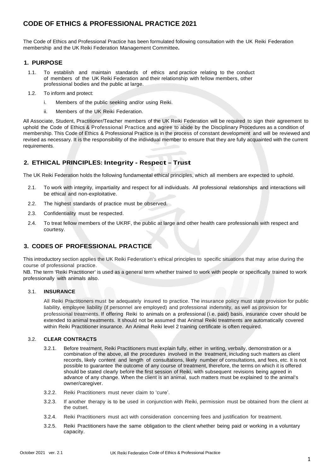# **CODE OF ETHICS & PROFESSIONAL PRACTICE 2021**

The Code of Ethics and Professional Practice has been formulated following consultation with the UK Reiki Federation membership and the UK Reiki Federation Management Committee**.**

# **1. PURPOSE**

- 1.1. To establish and maintain standards of ethics and practice relating to the conduct of members of the UK Reiki Federation and their relationship with fellow members, other professional bodies and the public at large.
- 1.2. To inform and protect:
	- i. Members of the public seeking and/or using Reiki.
	- ii. Members of the UK Reiki Federation.

All Associate, Student, Practitioner/Teacher members of the UK Reiki Federation will be required to sign their agreement to uphold the Code of Ethics & Professional Practice and agree to abide by the Disciplinary Procedures as a condition of membership. This Code of Ethics & Professional Practice is in the process of constant development and will be reviewed and revised as necessary. It is the responsibility of the individual member to ensure that they are fully acquainted with the current requirements.

# **2. ETHICAL PRINCIPLES: Integrity - Respect – Trust**

The UK Reiki Federation holds the following fundamental ethical principles, which all members are expected to uphold.

- 2.1. To work with integrity, impartiality and respect for all individuals. All professional relationships and interactions will be ethical and non-exploitative.
- 2.2. The highest standards of practice must be observed.
- 2.3. Confidentiality must be respected.
- 2.4. To treat fellow members of the UKRF, the public at large and other health care professionals with respect and courtesy.

# **3. CODES OF PROFESSIONAL PRACTICE**

This introductory section applies the UK Reiki Federation's ethical principles to specific situations that may arise during the course of professional practice.

NB. The term 'Reiki Practitioner' is used as a general term whether trained to work with people or specifically trained to work professionally with animals also.

#### 3.1. **INSURANCE**

All Reiki Practitioners must be adequately insured to practice. The insurance policy must state provision for public liability, employee liability (if personnel are employed) and professional indemnity, as well as provision for professional treatments. If offering Reiki to animals on a professional (i.e. paid) basis, insurance cover should be extended to animal treatments. It should not be assumed that Animal Reiki treatments are automatically covered within Reiki Practitioner insurance. An Animal Reiki level 2 training certificate is often required.

#### 3.2. **CLEAR CONTRACTS**

- 3.2.1. Before treatment, Reiki Practitioners must explain fully, either in writing, verbally, demonstration or a combination of the above, all the procedures involved in the treatment, including such matters as client records, likely content and length of consultations, likely number of consultations, and fees, etc. It is not possible to guarantee the outcome of any course of treatment, therefore, the terms on which it is offered should be stated clearly before the first session of Reiki, with subsequent revisions being agreed in advance of any change. When the client is an animal, such matters must be explained to the animal's owner/caregiver.
- 3.2.2. Reiki Practitioners must never claim to ʻcure'.
- 3.2.3. If another therapy is to be used in conjunction with Reiki, permission must be obtained from the client at the outset.
- 3.2.4. Reiki Practitioners must act with consideration concerning fees and justification for treatment.
- 3.2.5. Reiki Practitioners have the same obligation to the client whether being paid or working in a voluntary capacity.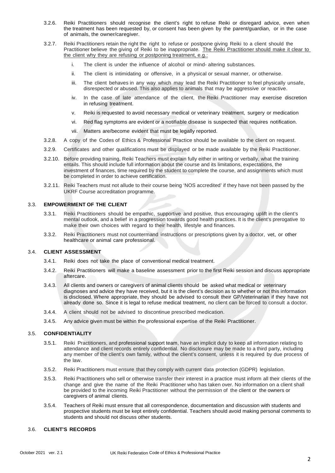- 3.2.6. Reiki Practitioners should recognise the client's right to refuse Reiki or disregard advice, even when the treatment has been requested by, or consent has been given by the parent/guardian, or in the case of animals, the owner/caregiver.
- 3.2.7. Reiki Practitioners retain the right the right to refuse or postpone giving Reiki to a client should the Practitioner believe the giving of Reiki to be inappropriate. The Reiki Practitioner should make it clear to the client why they are refusing or postponing treatment, e.g.:
	- i. The client is under the influence of alcohol or mind- altering substances.
	- ii. The client is intimidating or offensive, in a physical or sexual manner, or otherwise.
	- iii. The client behaves in any way which may lead the Reiki Practitioner to feel physically unsafe, disrespected or abused. This also applies to animals that may be aggressive or reactive.
	- iv. In the case of late attendance of the client, the Reiki Practitioner may exercise discretion in refusing treatment.
	- v. Reiki is requested to avoid necessary medical or veterinary treatment, surgery or medication
	- vi. Red flag symptoms are evident or a notifiable disease is suspected that requires notification.
	- vii. Matters are/become evident that must be legally reported.
- 3.2.8. A copy of the Codes of Ethics & Professional Practice should be available to the client on request.
- 3.2.9. Certificates and other qualifications must be displayed or be made available by the Reiki Practitioner.
- 3.2.10. Before providing training, Reiki Teachers must explain fully either in writing or verbally, what the training entails. This should include full information about the course and its limitations, expectations, the investment of finances, time required by the student to complete the course, and assignments which must be completed in order to achieve certification.
- 3.2.11. Reiki Teachers must not allude to their course being 'NOS accredited' if they have not been passed by the UKRF Course accreditation programme.

#### 3.3. **EMPOWERMENT OF THE CLIENT**

- 3.3.1. Reiki Practitioners should be empathic, supportive and positive, thus encouraging uplift in the client's mental outlook, and a belief in a progression towards good health practices. It is the client's prerogative to make their own choices with regard to their health, lifestyle and finances.
- 3.3.2. Reiki Practitioners must not countermand instructions or prescriptions given by a doctor, vet, or other healthcare or animal care professional.

#### 3.4. **CLIENT ASSESSMENT**

- 3.4.1. Reiki does not take the place of conventional medical treatment.
- 3.4.2. Reiki Practitioners will make a baseline assessment prior to the first Reiki session and discuss appropriate aftercare.
- 3.4.3. All clients and owners or caregivers of animal clients should be asked what medical or veterinary diagnoses and advice they have received, but it is the client's decision as to whether or not this information is disclosed. Where appropriate, they should be advised to consult their GP/Veterinarian if they have not already done so. Since it is legal to refuse medical treatment, no client can be forced to consult a doctor.
- 3.4.4. A client should not be advised to discontinue prescribed medication.
- 3.4.5. Any advice given must be within the professional expertise of the Reiki Practitioner.

#### 3.5. **CONFIDENTIALITY**

- 3.5.1. Reiki Practitioners, and professional support team, have an implicit duty to keep all information relating to attendance and client records entirely confidential. No disclosure may be made to a third party, including any member of the client's own family, without the client's consent, unless it is required by due process of the law.
- 3.5.2. Reiki Practitioners must ensure that they comply with current data protection (GDPR) legislation.
- 3.5.3. Reiki Practitioners who sell or otherwise transfer their interest in a practice must inform all their clients of the change and give the name of the Reiki Practitioner who has taken over. No information on a client shall be provided to the incoming Reiki Practitioner without the permission of the client or the owners or caregivers of animal clients.
- 3.5.4. Teachers of Reiki must ensure that all correspondence, documentation and discussion with students and prospective students must be kept entirely confidential. Teachers should avoid making personal comments to students and should not discuss other students.

#### 3.6. **CLIENT'S RECORDS**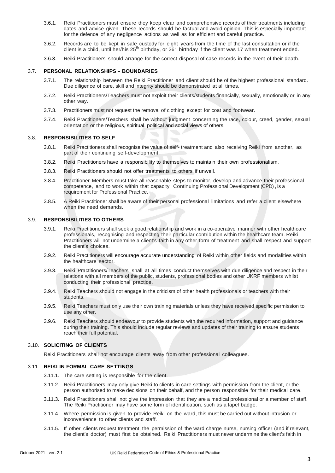- 3.6.1. Reiki Practitioners must ensure they keep clear and comprehensive records of their treatments including dates and advice given. These records should be factual and avoid opinion. This is especially important for the defence of any negligence actions as well as for efficient and careful practice.
- 3.6.2. Records are to be kept in safe custody for eight years from the time of the last consultation or if the client is a child, until her/his  $25^{th}$  birthday, or  $26^{th}$  birthday if the client was 17 when treatment ended.
- 3.6.3. Reiki Practitioners should arrange for the correct disposal of case records in the event of their death.

#### 3.7. **PERSONAL RELATIONSHIPS – BOUNDARIES**

- 3.7.1. The relationship between the Reiki Practitioner and client should be of the highest professional standard. Due diligence of care, skill and integrity should be demonstrated at all times.
- 3.7.2. Reiki Practitioners/Teachers must not exploit their clients/students financially, sexually, emotionally or in any other way.
- 3.7.3. Practitioners must not request the removal of clothing except for coat and footwear.
- 3.7.4. Reiki Practitioners/Teachers shall be without judgment concerning the race, colour, creed, gender, sexual orientation or the religious, spiritual, political and social views of others.

#### 3.8. **RESPONSIBILITIES TO SELF**

- 3.8.1. Reiki Practitioners shall recognise the value of self- treatment and also receiving Reiki from another, as part of their continuing self-development.
- 3.8.2. Reiki Practitioners have a responsibility to themselves to maintain their own professionalism.
- 3.8.3. Reiki Practitioners should not offer treatments to others if unwell.
- 3.8.4. Practitioner Members must take all reasonable steps to monitor, develop and advance their professional competence, and to work within that capacity. Continuing Professional Development (CPD) , is a requirement for Professional Practice.
- 3.8.5. A Reiki Practitioner shall be aware of their personal professional limitations and refer a client elsewhere when the need demands.

## 3.9. **RESPONSIBILITIES TO OTHERS**

- 3.9.1. Reiki Practitioners shall seek a good relationship and work in a co-operative manner with other healthcare professionals, recognising and respecting their particular contribution within the healthcare team. Reiki Practitioners will not undermine a client's faith in any other form of treatment and shall respect and support the client's choices.
- 3.9.2. Reiki Practitioners will encourage accurate understanding of Reiki within other fields and modalities within the healthcare sector.
- 3.9.3. Reiki Practitioners/Teachers shall at all times conduct themselves with due diligence and respect in their relations with all members of the public, students, professional bodies and other UKRF members whilst conducting their professional practice.
- 3.9.4. Reiki Teachers should not engage in the criticism of other health professionals or teachers with their students.
- 3.9.5. Reiki Teachers must only use their own training materials unless they have received specific permission to use any other.
- 3.9.6. Reiki Teachers should endeavour to provide students with the required information, support and guidance during their training. This should include regular reviews and updates of their training to ensure students reach their full potential.

#### 3.10. **SOLICITING OF CLIENTS**

Reiki Practitioners shall not encourage clients away from other professional colleagues.

#### 3.11. **REIKI IN FORMAL CARE SETTINGS**

- 3.11.1. The care setting is responsible for the client.
- 3.11.2. Reiki Practitioners may only give Reiki to clients in care settings with permission from the client, or the person authorised to make decisions on their behalf, and the person responsible for their medical care.
- 3.11.3. Reiki Practitioners shall not give the impression that they are a medical professional or a member of staff. The Reiki Practitioner may have some form of identification, such as a lapel badge.
- 3.11.4. Where permission is given to provide Reiki on the ward, this must be carried out without intrusion or inconvenience to other clients and staff.
- 3.11.5. If other clients request treatment, the permission of the ward charge nurse, nursing officer (and if relevant, the client's doctor) must first be obtained. Reiki Practitioners must never undermine the client's faith in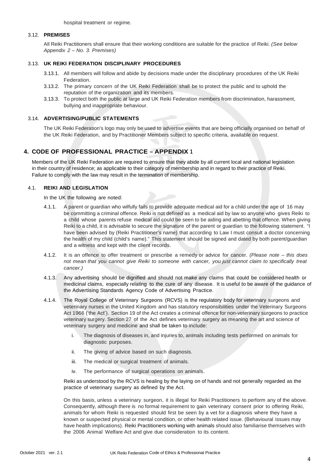hospital treatment or regime.

#### 3.12. **PREMISES**

All Reiki Practitioners shall ensure that their working conditions are suitable for the practice of Reiki. *(See below Appendix 2 – No. 3. Premises)*

#### 3.13. **UK REIKI FEDERATION DISCIPLINARY PROCEDURES**

- 3.13.1. All members will follow and abide by decisions made under the disciplinary procedures of the UK Reiki Federation.
- 3.13.2. The primary concern of the UK Reiki Federation shall be to protect the public and to uphold the reputation of the organization and its members.
- 3.13.3. To protect both the public at large and UK Reiki Federation members from discrimination, harassment, bullying and inappropriate behaviour.

#### 3.14. **ADVERTISING/PUBLIC STATEMENTS**

The UK Reiki Federation's logo may only be used to advertise events that are being officially organised on behalf of the UK Reiki Federation, and by Practitioner Members subject to specific criteria, available on request.

## **4. CODE OF PROFESSIONAL PRACTICE – APPENDIX <sup>1</sup>**

Members of the UK Reiki Federation are required to ensure that they abide by all current local and national legislation in their country of residence; as applicable to their category of membership and in regard to their practice of Reiki. Failure to comply with the law may result in the termination of membership.

#### 4.1. **REIKI AND LEGISLATION**

In the UK the following are noted:

- 4.1.1. A parent or guardian who wilfully fails to provide adequate medical aid for a child under the age of 16 may be committing a criminal offence. Reiki is not defined as a medical aid by law so anyone who gives Reiki to a child whose parents refuse medical aid could be seen to be aiding and abetting that offence. When giving Reiki to a child, it is advisable to secure the signature of the parent or guardian to the following statement. "I have been advised by (Reiki Practitioner's name) that according to Law I must consult a doctor concerning the health of my child (child's name)." This statement should be signed and dated by both parent/guardian and a witness and kept with the client records.
- 4.1.2. It is an offence to offer treatment or prescribe a remedy or advice for cancer. *(Please note – this does not mean that you cannot give Reiki to someone with cancer, you just cannot claim to specifically treat cancer.)*
- 4.1.3. Any advertising should be dignified and should not make any claims that could be considered health or medicinal claims, especially relating to the cure of any disease. It is useful to be aware of the guidance of the Advertising Standards Agency Code of Advertising Practice.
- 4.1.4. The Royal College of Veterinary Surgeons (RCVS) is the regulatory body for veterinary surgeons and veterinary nurses in the United Kingdom and has statutory responsibilities under the Veterinary Surgeons Act 1966 ('the Act'). Section 19 of the Act creates a criminal offence for non-veterinary surgeons to practice veterinary surgery. Section 27 of the Act defines veterinary surgery as meaning the art and science of veterinary surgery and medicine and shall be taken to include:
	- i. The diagnosis of diseases in, and injuries to, animals including tests performed on animals for diagnostic purposes.
	- ii. The giving of advice based on such diagnosis.
	- iii. The medical or surgical treatment of animals.
	- iv. The performance of surgical operations on animals.

Reiki as understood by the RCVS is healing by the laying on of hands and not generally regarded as the practice of veterinary surgery as defined by the Act.

On this basis, unless a veterinary surgeon, it is illegal for Reiki Practitioners to perform any of the above. Consequently, although there is no formal requirement to gain veterinary consent prior to offering Reiki, animals for whom Reiki is requested should first be seen by a vet for a diagnosis where they have a known or suspected physical or mental condition, or other health related issue. (Behavioural issues may have health implications). Reiki Practitioners working with animals should also familiarise themselves with the 2006 Animal Welfare Act and give due consideration to its content.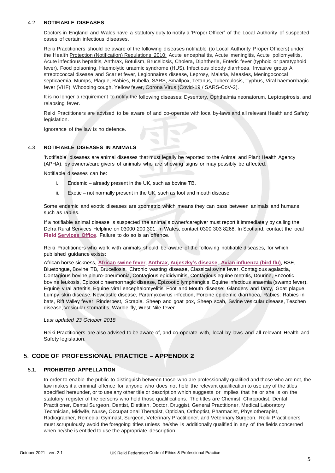#### 4.2. **NOTIFIABLE DISEASES**

Doctors in England and Wales have a statutory duty to notify a ʻProper Officer' of the Local Authority of suspected cases of certain infectious diseases.

Reiki Practitioners should be aware of the following diseases notifiable (to Local Authority Proper Officers) under the Health Protection (Notification) Regulations 2010: Acute encephalitis, Acute meningitis, Acute poliomyelitis, Acute infectious hepatitis, Anthrax, Botulism, Brucellosis, Cholera, Diphtheria, Enteric fever (typhoid or paratyphoid fever), Food poisoning, Haemolytic uraemic syndrome (HUS), Infectious bloody diarrhoea, Invasive group A streptococcal disease and Scarlet fever, Legionnaires disease, Leprosy, Malaria, Measles, Meningococcal septicaemia, Mumps, Plague, Rabies, Rubella, SARS, Smallpox, Tetanus, Tuberculosis, Typhus, Viral haemorrhagic fever (VHF), Whooping cough, Yellow fever, Corona Virus (Covid-19 / SARS-CoV-2).

It is no longer a requirement to notify the following diseases: Dysentery, Ophthalmia neonatorum, Leptospirosis, and relapsing fever.

Reiki Practitioners are advised to be aware of and co-operate with local by-laws and all relevant Health and Safety legislation.

Ignorance of the law is no defence.

#### 4.3. **NOTIFIABLE DISEASES IN ANIMALS**

ʻNotifiable' diseases are animal diseases that must legally be reported to the Animal and Plant Health Agency (APHA), by owners/care givers of animals who are showing signs or may possibly be affected.

Notifiable diseases can be:

- i. Endemic already present in the UK, such as bovine TB.
- ii. Exotic not normally present in the UK, such as foot and mouth disease

Some endemic and exotic diseases are zoometric which means they can pass between animals and humans, such as rabies.

If a notifiable animal disease is suspected the animal's owner/caregiver must report it immediately by calling the Defra Rural Services Helpline on 03000 200 301. In Wales, contact 0300 303 8268. In Scotland, contact the local **[Field Services](https://www.gov.uk/government/organisations/animal-and-plant-health-agency/about/access-and-opening#scotland-field-service-offices) Office**. Failure to do so is an offence.

Reiki Practitioners who work with animals should be aware of the following notifiable diseases, for which published guidance exists:

African horse sickness, **African [swine fever](https://www.gov.uk/guidance/african-swine-fever)**, **[Anthrax](https://www.gov.uk/guidance/anthrax-how-to-spot-and-report-the-disease)**, **Aujeszky'[s disease](https://www.gov.uk/guidance/anthrax-how-to-spot-and-report-the-disease)**, **Avian [influenza \(bird flu\)](https://www.gov.uk/guidance/avian-influenza-bird-flu)**, BSE, Bluetongue, Bovine TB, Brucellosis, Chronic wasting disease, Classical swine fever, Contagious agalactia, Contagious bovine pleuro-pneumonia, Contagious epididymitis, Contagious equine metritis, Dourine, Enzootic bovine leukosis, Epizootic haemorrhagic disease, Epizootic lymphangitis, Equine infectious anaemia (swamp fever), Equine viral arteritis, Equine viral encephalomyelitis, Foot and Mouth disease: Glanders and farcy, Goat plague, Lumpy skin disease, Newcastle disease, Paramyxovirus infection, Porcine epidemic diarrhoea, Rabies: Rabies in bats, Rift Valley fever, Rinderpest, Scrapie, Sheep and goat pox, Sheep scab, Swine vesicular disease, Teschen disease, Vesicular stomatitis, Warble fly, West Nile fever.

*Last updated 23 October 2018*

Reiki Practitioners are also advised to be aware of, and co-operate with, local by-laws and all relevant Health and Safety legislation.

# 5. **CODE OF PROFESSIONAL PRACTICE – APPENDIX 2**

#### 5.1. **PROHIBITED APPELLATION**

In order to enable the public to distinguish between those who are professionally qualified and those who are not, the law makes it a criminal offence for anyone who does not hold the relevant qualification to use any of the titles specified hereunder, or to use any other title or description which suggests or implies that he or she is on the statutory register of the persons who hold those qualifications. The titles are Chemist, Chiropodist, Dental Practitioner, Dental Surgeon, Dentist, Dietitian, Doctor, Druggist, General Practitioner, Medical Laboratory Technician, Midwife, Nurse, Occupational Therapist, Optician, Orthoptist, Pharmacist, Physiotherapist, Radiographer, Remedial Gymnast, Surgeon, Veterinary Practitioner, and Veterinary Surgeon. Reiki Practitioners must scrupulously avoid the foregoing titles unless he/she is additionally qualified in any of the fields concerned when he/she is entitled to use the appropriate description.